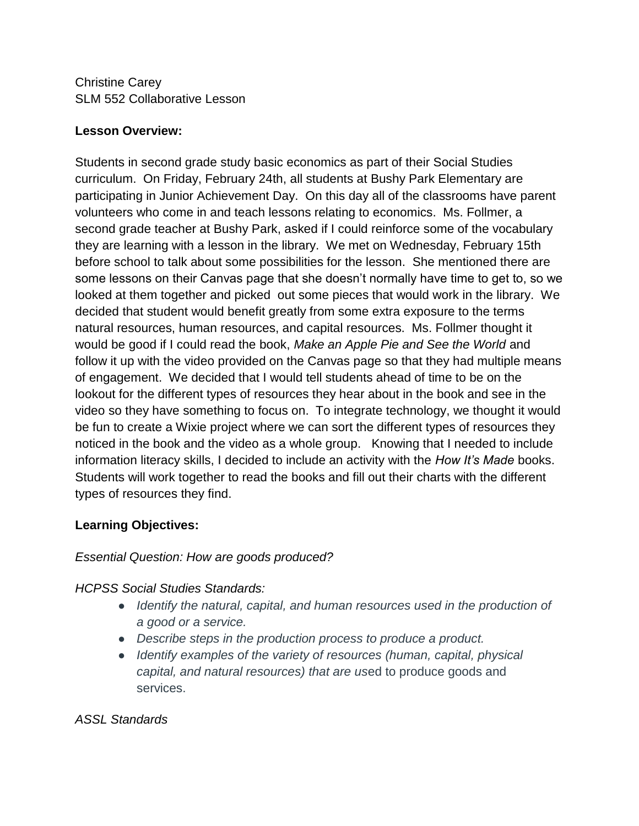Christine Carey SLM 552 Collaborative Lesson

## **Lesson Overview:**

Students in second grade study basic economics as part of their Social Studies curriculum. On Friday, February 24th, all students at Bushy Park Elementary are participating in Junior Achievement Day. On this day all of the classrooms have parent volunteers who come in and teach lessons relating to economics. Ms. Follmer, a second grade teacher at Bushy Park, asked if I could reinforce some of the vocabulary they are learning with a lesson in the library. We met on Wednesday, February 15th before school to talk about some possibilities for the lesson. She mentioned there are some lessons on their Canvas page that she doesn't normally have time to get to, so we looked at them together and picked out some pieces that would work in the library. We decided that student would benefit greatly from some extra exposure to the terms natural resources, human resources, and capital resources. Ms. Follmer thought it would be good if I could read the book, *Make an Apple Pie and See the World* and follow it up with the video provided on the Canvas page so that they had multiple means of engagement. We decided that I would tell students ahead of time to be on the lookout for the different types of resources they hear about in the book and see in the video so they have something to focus on. To integrate technology, we thought it would be fun to create a Wixie project where we can sort the different types of resources they noticed in the book and the video as a whole group. Knowing that I needed to include information literacy skills, I decided to include an activity with the *How It's Made* books. Students will work together to read the books and fill out their charts with the different types of resources they find.

### **Learning Objectives:**

### *Essential Question: How are goods produced?*

### *HCPSS Social Studies Standards:*

- *Identify the natural, capital, and human resources used in the production of a good or a service.*
- *Describe steps in the production process to produce a product.*
- *Identify examples of the variety of resources (human, capital, physical capital, and natural resources) that are us*ed to produce goods and services.

### *ASSL Standards*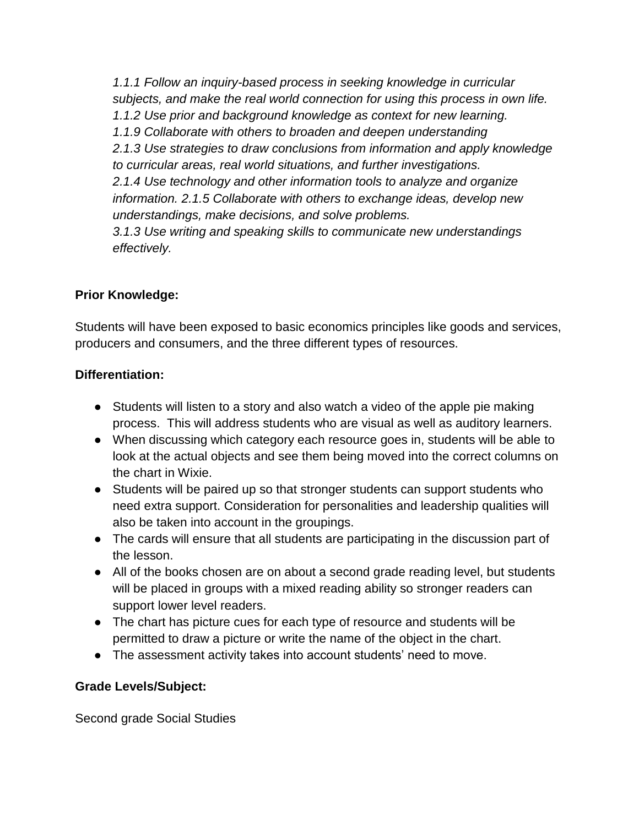*1.1.1 Follow an inquiry-based process in seeking knowledge in curricular subjects, and make the real world connection for using this process in own life. 1.1.2 Use prior and background knowledge as context for new learning. 1.1.9 Collaborate with others to broaden and deepen understanding 2.1.3 Use strategies to draw conclusions from information and apply knowledge to curricular areas, real world situations, and further investigations. 2.1.4 Use technology and other information tools to analyze and organize information. 2.1.5 Collaborate with others to exchange ideas, develop new understandings, make decisions, and solve problems. 3.1.3 Use writing and speaking skills to communicate new understandings effectively.*

# **Prior Knowledge:**

Students will have been exposed to basic economics principles like goods and services, producers and consumers, and the three different types of resources.

## **Differentiation:**

- Students will listen to a story and also watch a video of the apple pie making process. This will address students who are visual as well as auditory learners.
- When discussing which category each resource goes in, students will be able to look at the actual objects and see them being moved into the correct columns on the chart in Wixie.
- Students will be paired up so that stronger students can support students who need extra support. Consideration for personalities and leadership qualities will also be taken into account in the groupings.
- The cards will ensure that all students are participating in the discussion part of the lesson.
- All of the books chosen are on about a second grade reading level, but students will be placed in groups with a mixed reading ability so stronger readers can support lower level readers.
- The chart has picture cues for each type of resource and students will be permitted to draw a picture or write the name of the object in the chart.
- The assessment activity takes into account students' need to move.

## **Grade Levels/Subject:**

Second grade Social Studies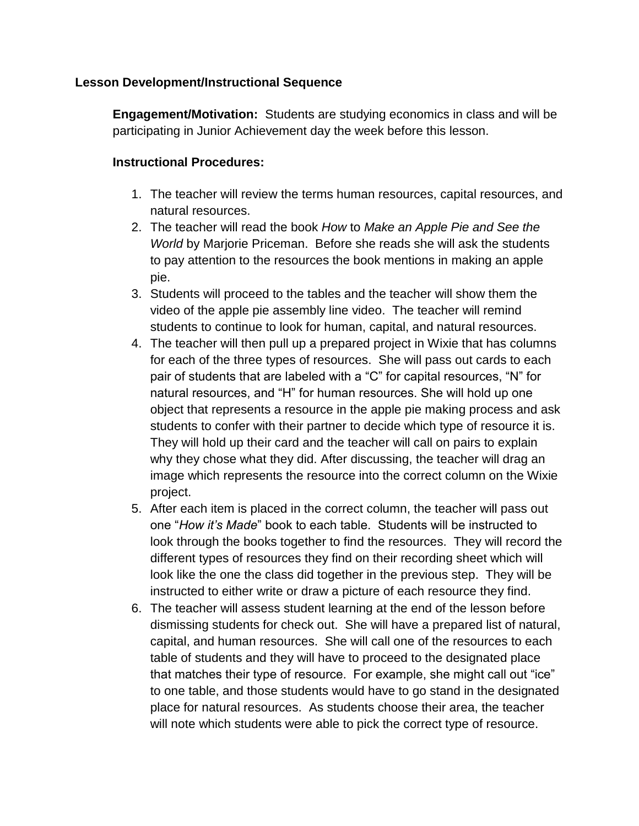### **Lesson Development/Instructional Sequence**

**Engagement/Motivation:** Students are studying economics in class and will be participating in Junior Achievement day the week before this lesson.

### **Instructional Procedures:**

- 1. The teacher will review the terms human resources, capital resources, and natural resources.
- 2. The teacher will read the book *How* to *Make an Apple Pie and See the World* by Marjorie Priceman. Before she reads she will ask the students to pay attention to the resources the book mentions in making an apple pie.
- 3. Students will proceed to the tables and the teacher will show them the video of the apple pie assembly line video. The teacher will remind students to continue to look for human, capital, and natural resources.
- 4. The teacher will then pull up a prepared project in Wixie that has columns for each of the three types of resources. She will pass out cards to each pair of students that are labeled with a "C" for capital resources, "N" for natural resources, and "H" for human resources. She will hold up one object that represents a resource in the apple pie making process and ask students to confer with their partner to decide which type of resource it is. They will hold up their card and the teacher will call on pairs to explain why they chose what they did. After discussing, the teacher will drag an image which represents the resource into the correct column on the Wixie project.
- 5. After each item is placed in the correct column, the teacher will pass out one "*How it's Made*" book to each table. Students will be instructed to look through the books together to find the resources. They will record the different types of resources they find on their recording sheet which will look like the one the class did together in the previous step. They will be instructed to either write or draw a picture of each resource they find.
- 6. The teacher will assess student learning at the end of the lesson before dismissing students for check out. She will have a prepared list of natural, capital, and human resources. She will call one of the resources to each table of students and they will have to proceed to the designated place that matches their type of resource. For example, she might call out "ice" to one table, and those students would have to go stand in the designated place for natural resources. As students choose their area, the teacher will note which students were able to pick the correct type of resource.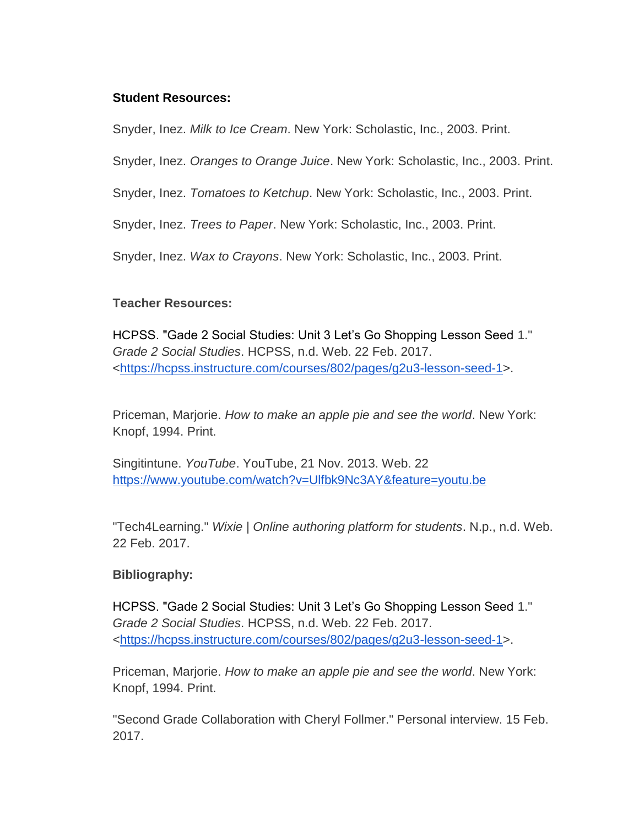### **Student Resources:**

Snyder, Inez. *Milk to Ice Cream*. New York: Scholastic, Inc., 2003. Print.

Snyder, Inez. *Oranges to Orange Juice*. New York: Scholastic, Inc., 2003. Print.

Snyder, Inez. *Tomatoes to Ketchup*. New York: Scholastic, Inc., 2003. Print.

Snyder, Inez. *Trees to Paper*. New York: Scholastic, Inc., 2003. Print.

Snyder, Inez. *Wax to Crayons*. New York: Scholastic, Inc., 2003. Print.

### **Teacher Resources:**

HCPSS. "Gade 2 Social Studies: Unit 3 Let's Go Shopping Lesson Seed 1." *Grade 2 Social Studies*. HCPSS, n.d. Web. 22 Feb. 2017. [<https://hcpss.instructure.com/courses/802/pages/g2u3-lesson-seed-1>](https://hcpss.instructure.com/courses/802/pages/g2u3-lesson-seed-1).

Priceman, Marjorie. *How to make an apple pie and see the world*. New York: Knopf, 1994. Print.

Singitintune. *YouTube*. YouTube, 21 Nov. 2013. Web. 22 <https://www.youtube.com/watch?v=Ulfbk9Nc3AY&feature=youtu.be>

"Tech4Learning." *Wixie | Online authoring platform for students*. N.p., n.d. Web. 22 Feb. 2017.

### **Bibliography:**

HCPSS. "Gade 2 Social Studies: Unit 3 Let's Go Shopping Lesson Seed 1." *Grade 2 Social Studies*. HCPSS, n.d. Web. 22 Feb. 2017. [<https://hcpss.instructure.com/courses/802/pages/g2u3-lesson-seed-1>](https://hcpss.instructure.com/courses/802/pages/g2u3-lesson-seed-1).

Priceman, Marjorie. *How to make an apple pie and see the world*. New York: Knopf, 1994. Print.

"Second Grade Collaboration with Cheryl Follmer." Personal interview. 15 Feb. 2017.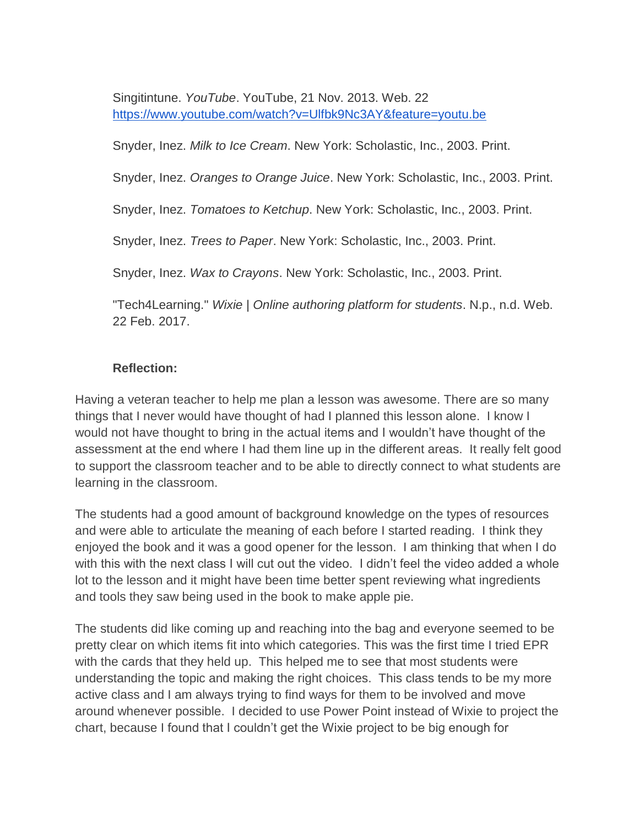Singitintune. *YouTube*. YouTube, 21 Nov. 2013. Web. 22 <https://www.youtube.com/watch?v=Ulfbk9Nc3AY&feature=youtu.be>

Snyder, Inez. *Milk to Ice Cream*. New York: Scholastic, Inc., 2003. Print.

Snyder, Inez. *Oranges to Orange Juice*. New York: Scholastic, Inc., 2003. Print.

Snyder, Inez. *Tomatoes to Ketchup*. New York: Scholastic, Inc., 2003. Print.

Snyder, Inez. *Trees to Paper*. New York: Scholastic, Inc., 2003. Print.

Snyder, Inez. *Wax to Crayons*. New York: Scholastic, Inc., 2003. Print.

"Tech4Learning." *Wixie | Online authoring platform for students*. N.p., n.d. Web. 22 Feb. 2017.

### **Reflection:**

Having a veteran teacher to help me plan a lesson was awesome. There are so many things that I never would have thought of had I planned this lesson alone. I know I would not have thought to bring in the actual items and I wouldn't have thought of the assessment at the end where I had them line up in the different areas. It really felt good to support the classroom teacher and to be able to directly connect to what students are learning in the classroom.

The students had a good amount of background knowledge on the types of resources and were able to articulate the meaning of each before I started reading. I think they enjoyed the book and it was a good opener for the lesson. I am thinking that when I do with this with the next class I will cut out the video. I didn't feel the video added a whole lot to the lesson and it might have been time better spent reviewing what ingredients and tools they saw being used in the book to make apple pie.

The students did like coming up and reaching into the bag and everyone seemed to be pretty clear on which items fit into which categories. This was the first time I tried EPR with the cards that they held up. This helped me to see that most students were understanding the topic and making the right choices. This class tends to be my more active class and I am always trying to find ways for them to be involved and move around whenever possible. I decided to use Power Point instead of Wixie to project the chart, because I found that I couldn't get the Wixie project to be big enough for